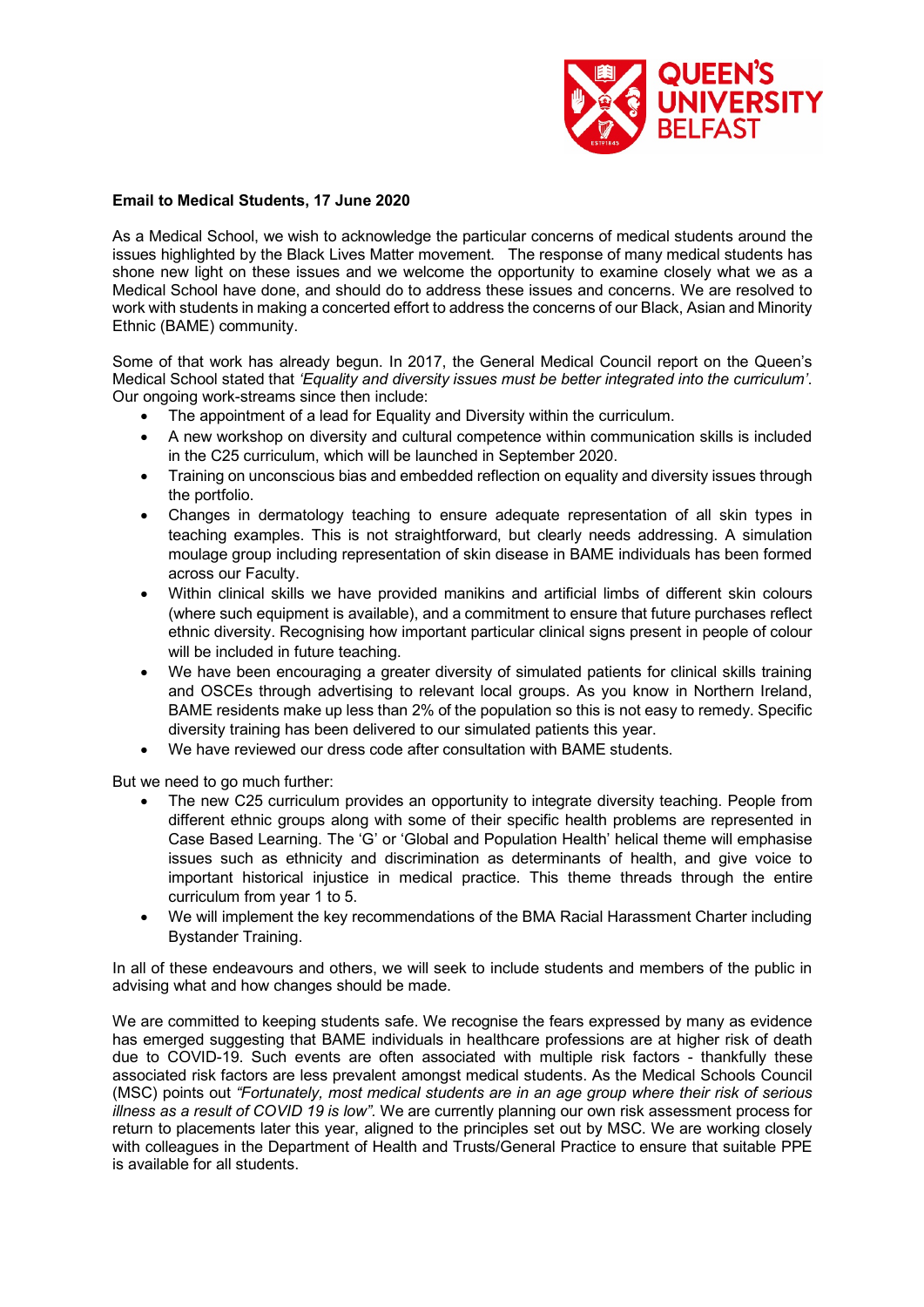

## **Email to Medical Students, 17 June 2020**

As a Medical School, we wish to acknowledge the particular concerns of medical students around the issues highlighted by the Black Lives Matter movement. The response of many medical students has shone new light on these issues and we welcome the opportunity to examine closely what we as a Medical School have done, and should do to address these issues and concerns. We are resolved to work with students in making a concerted effort to address the concerns of our Black, Asian and Minority Ethnic (BAME) community.

Some of that work has already begun. In 2017, the General Medical Council report on the Queen's Medical School stated that *'Equality and diversity issues must be better integrated into the curriculum'*. Our ongoing work-streams since then include:

- The appointment of a lead for Equality and Diversity within the curriculum.
- A new workshop on diversity and cultural competence within communication skills is included in the C25 curriculum, which will be launched in September 2020.
- Training on unconscious bias and embedded reflection on equality and diversity issues through the portfolio.
- Changes in dermatology teaching to ensure adequate representation of all skin types in teaching examples. This is not straightforward, but clearly needs addressing. A simulation moulage group including representation of skin disease in BAME individuals has been formed across our Faculty.
- Within clinical skills we have provided manikins and artificial limbs of different skin colours (where such equipment is available), and a commitment to ensure that future purchases reflect ethnic diversity. Recognising how important particular clinical signs present in people of colour will be included in future teaching.
- We have been encouraging a greater diversity of simulated patients for clinical skills training and OSCEs through advertising to relevant local groups. As you know in Northern Ireland, BAME residents make up less than 2% of the population so this is not easy to remedy. Specific diversity training has been delivered to our simulated patients this year.
- We have reviewed our dress code after consultation with BAME students.

But we need to go much further:

- The new C25 curriculum provides an opportunity to integrate diversity teaching. People from different ethnic groups along with some of their specific health problems are represented in Case Based Learning. The 'G' or 'Global and Population Health' helical theme will emphasise issues such as ethnicity and discrimination as determinants of health, and give voice to important historical injustice in medical practice. This theme threads through the entire curriculum from year 1 to 5.
- We will implement the key recommendations of the BMA Racial Harassment Charter including Bystander Training.

In all of these endeavours and others, we will seek to include students and members of the public in advising what and how changes should be made.

We are committed to keeping students safe. We recognise the fears expressed by many as evidence has emerged suggesting that BAME individuals in healthcare professions are at higher risk of death due to COVID-19. Such events are often associated with multiple risk factors - thankfully these associated risk factors are less prevalent amongst medical students. As the Medical Schools Council (MSC) points out *"Fortunately, most medical students are in an age group where their risk of serious illness as a result of COVID 19 is low".* We are currently planning our own risk assessment process for return to placements later this year, aligned to the principles set out by MSC. We are working closely with colleagues in the Department of Health and Trusts/General Practice to ensure that suitable PPE is available for all students.